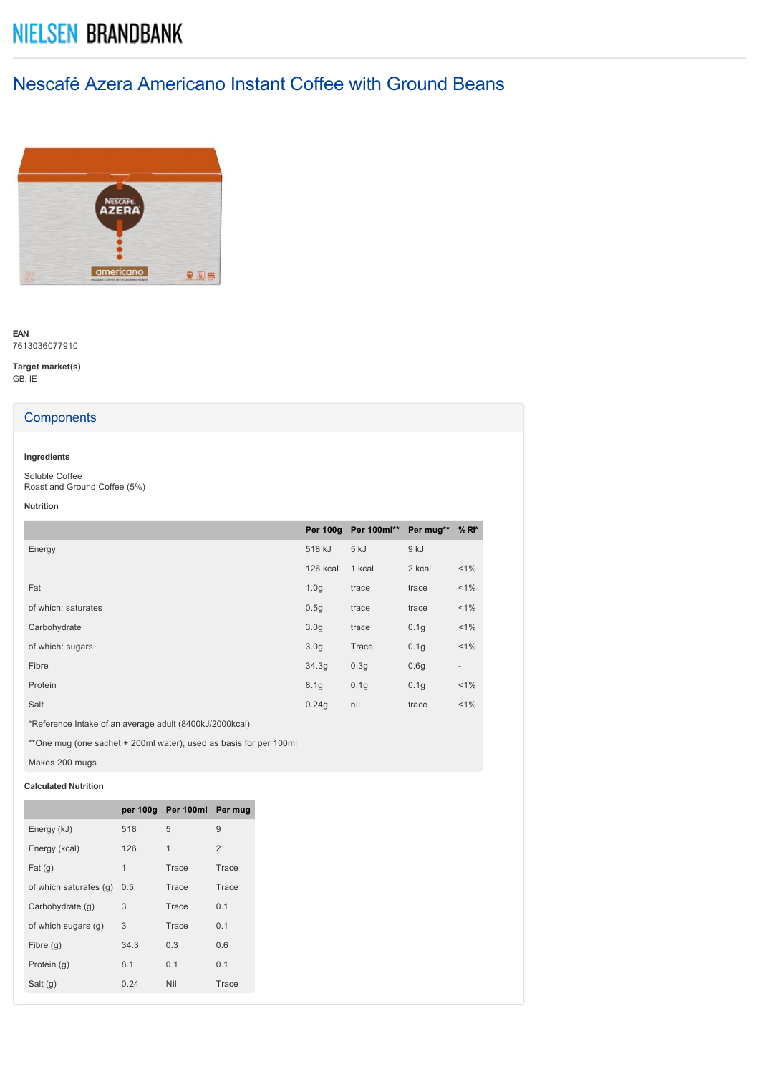# **NIELSEN BRANDBANK**

## Nescafé Azera Americano Instant Coffee with Ground Beans



**EAN** 7613036077910

**Target market(s)** GB, IE

## **Components**

## **Ingredients**

Soluble Coffee Roast and Ground Coffee (5%)

**Nutrition**

|                     |                  | Per 100g Per 100ml** Per mug** %RI* |                  |                          |
|---------------------|------------------|-------------------------------------|------------------|--------------------------|
| Energy              | 518 kJ           | 5 kJ                                | 9 kJ             |                          |
|                     | 126 kcal         | 1 kcal                              | 2 kcal           | $< 1\%$                  |
| Fat                 | 1.0 <sub>q</sub> | trace                               | trace            | $< 1\%$                  |
| of which: saturates | 0.5g             | trace                               | trace            | $< 1\%$                  |
| Carbohydrate        | 3.0 <sub>g</sub> | trace                               | 0.1 <sub>g</sub> | $< 1\%$                  |
| of which: sugars    | 3.0 <sub>q</sub> | Trace                               | 0.1 <sub>g</sub> | $< 1\%$                  |
| Fibre               | 34.3g            | 0.3 <sub>g</sub>                    | 0.6g             | $\overline{\phantom{a}}$ |
| Protein             | 8.1 <sub>g</sub> | 0.1 <sub>g</sub>                    | 0.1 <sub>g</sub> | $< 1\%$                  |
| Salt                | 0.24q            | nil                                 | trace            | $< 1\%$                  |
|                     |                  |                                     |                  |                          |

\*Reference Intake of an average adult (8400kJ/2000kcal)

\*\*One mug (one sachet + 200ml water); used as basis for per 100ml

Makes 200 mugs

## **Calculated Nutrition**

|                        |      | per 100g Per 100ml Per mug |                |
|------------------------|------|----------------------------|----------------|
| Energy (kJ)            | 518  | 5                          | 9              |
| Energy (kcal)          | 126  | 1                          | $\overline{2}$ |
| Fat(g)                 | 1    | Trace                      | Trace          |
| of which saturates (q) | 0.5  | Trace                      | Trace          |
| Carbohydrate (q)       | 3    | Trace                      | 0.1            |
| of which sugars (g)    | 3    | Trace                      | 0.1            |
| Fibre $(g)$            | 34.3 | 0.3                        | 0.6            |
| Protein (q)            | 8.1  | 0.1                        | 0.1            |
| Salt $(g)$             | 0.24 | Nil                        | Trace          |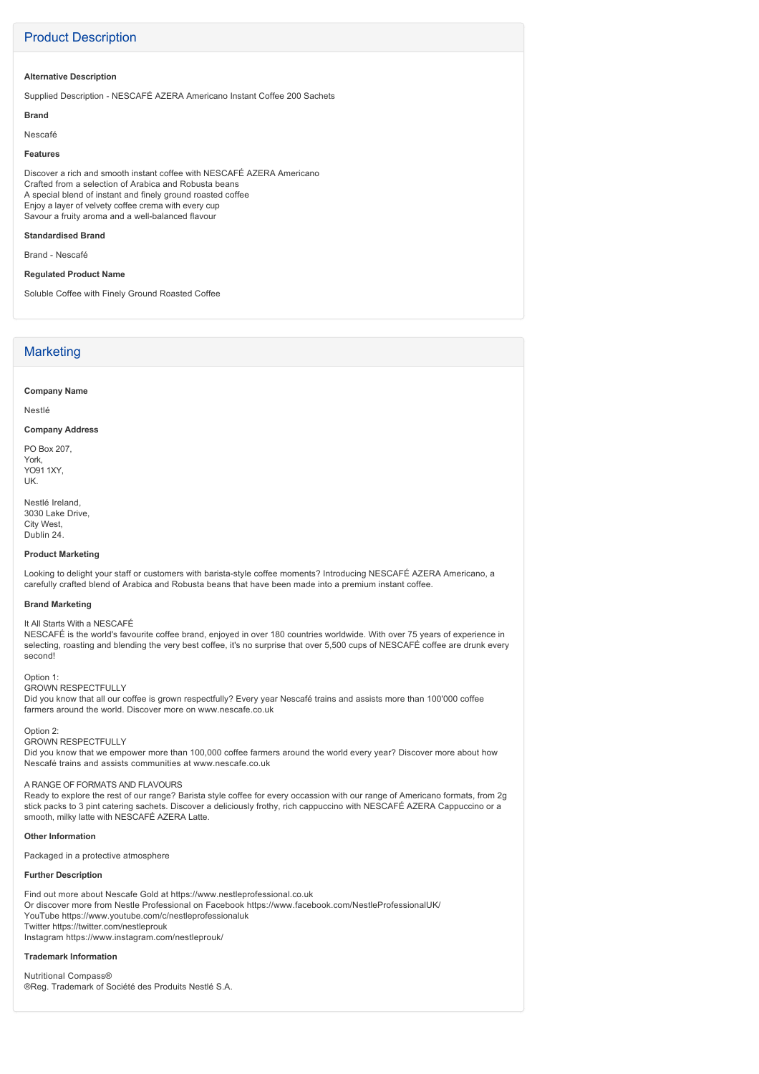## Product Description

#### **Alternative Description**

Supplied Description - NESCAFÉ AZERA Americano Instant Coffee 200 Sachets

#### **Brand**

Nescafé

#### **Features**

Discover a rich and smooth instant coffee with NESCAFÉ AZERA Americano Crafted from a selection of Arabica and Robusta beans A special blend of instant and finely ground roasted coffee Enjoy a layer of velvety coffee crema with every cup Savour a fruity aroma and a well-balanced flavour

#### **Standardised Brand**

Brand - Nescafé

#### **Regulated Product Name**

Soluble Coffee with Finely Ground Roasted Coffee

## **Marketing**

**Company Name**

Nestlé

#### **Company Address**

PO Box 207, York, YO91 1XY, UK.

Nestlé Ireland, 3030 Lake Drive, City West, Dublin 24.

#### **Product Marketing**

Looking to delight your staff or customers with barista-style coffee moments? Introducing NESCAFÉ AZERA Americano, a carefully crafted blend of Arabica and Robusta beans that have been made into a premium instant coffee.

#### **Brand Marketing**

It All Starts With a NESCAFÉ

NESCAFÉ is the world's favourite coffee brand, enjoyed in over 180 countries worldwide. With over 75 years of experience in selecting, roasting and blending the very best coffee, it's no surprise that over 5,500 cups of NESCAFÉ coffee are drunk every second!

#### Option 1: GROWN RESPECTFULLY

Did you know that all our coffee is grown respectfully? Every year Nescafé trains and assists more than 100'000 coffee farmers around the world. Discover more on www.nescafe.co.uk

#### Option 2:

GROWN RESPECTFULLY

Did you know that we empower more than 100,000 coffee farmers around the world every year? Discover more about how Nescafé trains and assists communities at www.nescafe.co.uk

#### A RANGE OF FORMATS AND FLAVOURS

Ready to explore the rest of our range? Barista style coffee for every occassion with our range of Americano formats, from 2g stick packs to 3 pint catering sachets. Discover a deliciously frothy, rich cappuccino with NESCAFÉ AZERA Cappuccino or a smooth, milky latte with NESCAFÉ AZERA Latte.

#### **Other Information**

Packaged in a protective atmosphere

#### **Further Description**

Find out more about Nescafe Gold at https://www.nestleprofessional.co.uk Or discover more from Nestle Professional on Facebook https://www.facebook.com/NestleProfessionalUK/ YouTube https://www.youtube.com/c/nestleprofessionaluk Twitter https://twitter.com/nestleprouk Instagram https://www.instagram.com/nestleprouk/

#### **Trademark Information**

Nutritional Compass® ®Reg. Trademark of Société des Produits Nestlé S.A.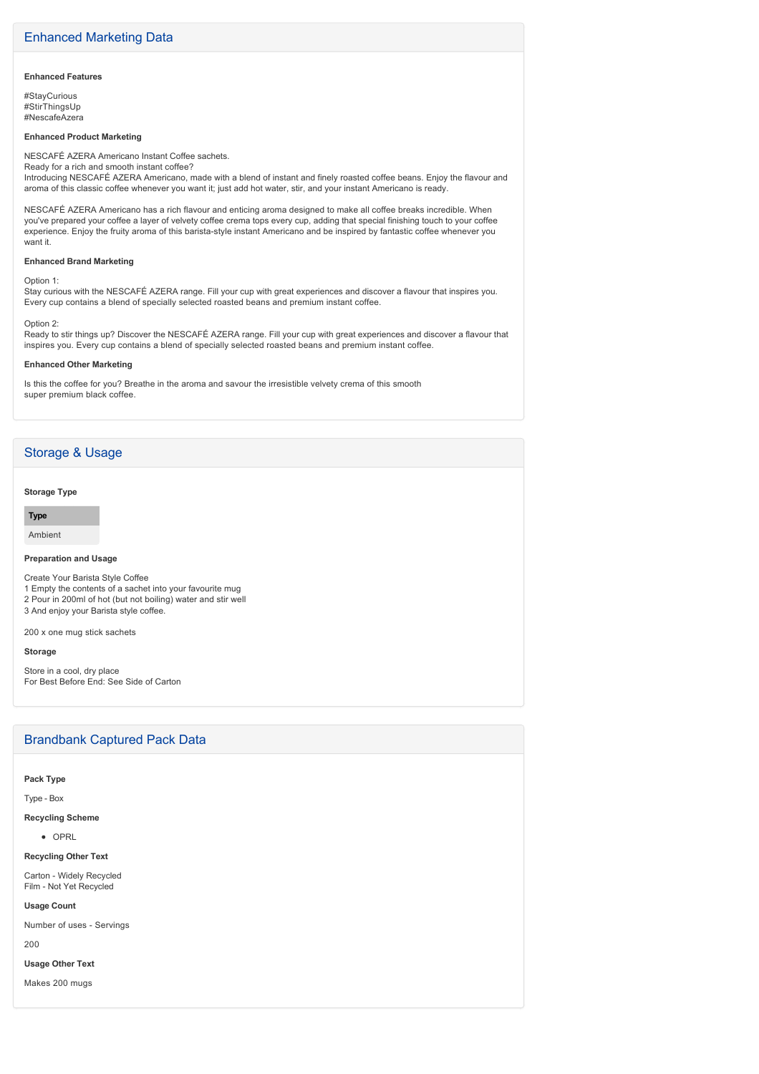#### **Enhanced Features**

#StayCurious #StirThingsUp #NescafeAzera

#### **Enhanced Product Marketing**

NESCAFÉ AZERA Americano Instant Coffee sachets. Ready for a rich and smooth instant coffee?

Introducing NESCAFÉ AZERA Americano, made with a blend of instant and finely roasted coffee beans. Enjoy the flavour and aroma of this classic coffee whenever you want it; just add hot water, stir, and your instant Americano is ready.

NESCAFÉ AZERA Americano has a rich flavour and enticing aroma designed to make all coffee breaks incredible. When you've prepared your coffee a layer of velvety coffee crema tops every cup, adding that special finishing touch to your coffee experience. Enjoy the fruity aroma of this barista-style instant Americano and be inspired by fantastic coffee whenever you want it.

#### **Enhanced Brand Marketing**

Option 1:

Stay curious with the NESCAFÉ AZERA range. Fill your cup with great experiences and discover a flavour that inspires you. Every cup contains a blend of specially selected roasted beans and premium instant coffee.

#### Option 2:

Ready to stir things up? Discover the NESCAFÉ AZERA range. Fill your cup with great experiences and discover a flavour that inspires you. Every cup contains a blend of specially selected roasted beans and premium instant coffee.

#### **Enhanced Other Marketing**

Is this the coffee for you? Breathe in the aroma and savour the irresistible velvety crema of this smooth super premium black coffee.

## Storage & Usage

#### **Storage Type**

**Type**

#### Ambient

**Preparation and Usage**

Create Your Barista Style Coffee

1 Empty the contents of a sachet into your favourite mug 2 Pour in 200ml of hot (but not boiling) water and stir well 3 And enjoy your Barista style coffee.

200 x one mug stick sachets

#### **Storage**

Store in a cool, dry place For Best Before End: See Side of Carton

### Brandbank Captured Pack Data

#### **Pack Type**

Type - Box

## **Recycling Scheme**

 $\overline{O}$ 

#### **Recycling Other Text**

Carton - Widely Recycled Film - Not Yet Recycled

#### **Usage Count**

Number of uses - Servings

200

#### **Usage Other Text**

Makes 200 mugs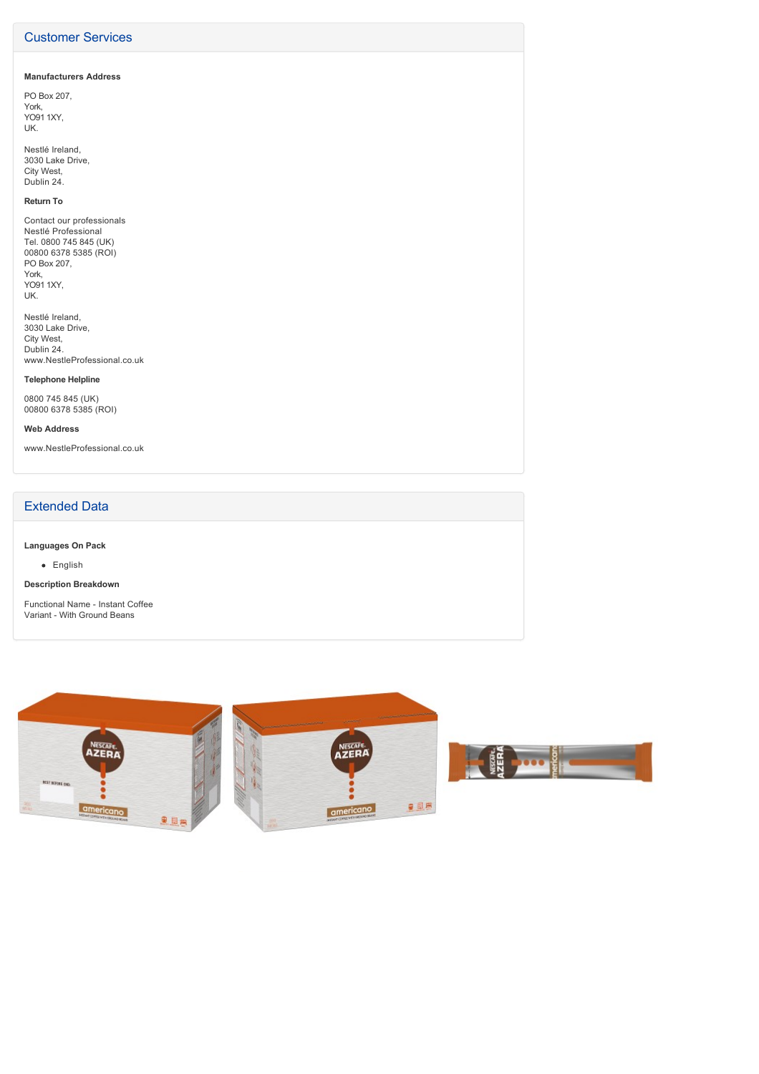## Customer Services

#### **Manufacturers Address**

PO Box 207, York, YO91 1XY, UK.

Nestlé Ireland, 3030 Lake Drive, City West, Dublin 24.

## **Return To**

Contact our professionals Nestlé Professional Tel. 0800 745 845 (UK) 00800 6378 5385 (ROI) PO Box 207, York, YO91 1XY, UK.

Nestlé Ireland, 3030 Lake Drive, City West, Dublin 24. www.NestleProfessional.co.uk

#### **Telephone Helpline**

0800 745 845 (UK) 00800 6378 5385 (ROI)

#### **Web Address**

www.NestleProfessional.co.uk

## Extended Data

**Languages On Pack**

• English

#### **Description Breakdown**

Functional Name - Instant Coffee Variant - With Ground Beans